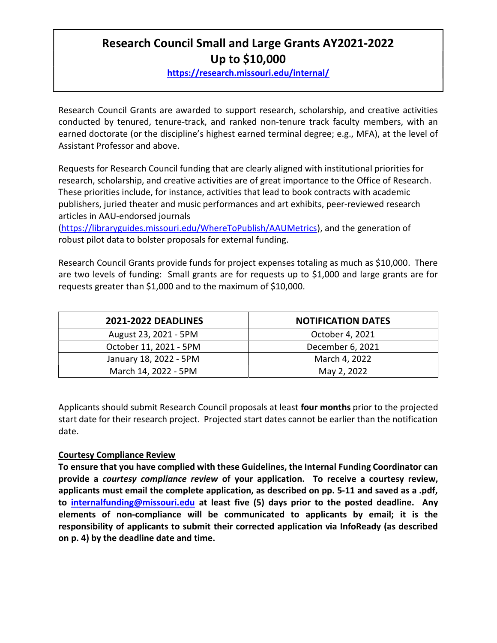# Research Council Small and Large Grants AY2021-2022 Up to \$10,000

https://research.missouri.edu/internal/

Research Council Grants are awarded to support research, scholarship, and creative activities conducted by tenured, tenure-track, and ranked non-tenure track faculty members, with an earned doctorate (or the discipline's highest earned terminal degree; e.g., MFA), at the level of Assistant Professor and above.

Requests for Research Council funding that are clearly aligned with institutional priorities for research, scholarship, and creative activities are of great importance to the Office of Research. These priorities include, for instance, activities that lead to book contracts with academic publishers, juried theater and music performances and art exhibits, peer-reviewed research articles in AAU-endorsed journals

(https://libraryguides.missouri.edu/WhereToPublish/AAUMetrics), and the generation of robust pilot data to bolster proposals for external funding.

Research Council Grants provide funds for project expenses totaling as much as \$10,000. There are two levels of funding: Small grants are for requests up to \$1,000 and large grants are for requests greater than \$1,000 and to the maximum of \$10,000.

| <b>2021-2022 DEADLINES</b> | <b>NOTIFICATION DATES</b> |
|----------------------------|---------------------------|
| August 23, 2021 - 5PM      | October 4, 2021           |
| October 11, 2021 - 5PM     | December 6, 2021          |
| January 18, 2022 - 5PM     | March 4, 2022             |
| March 14, 2022 - 5PM       | May 2, 2022               |

Applicants should submit Research Council proposals at least four months prior to the projected start date for their research project. Projected start dates cannot be earlier than the notification date.

#### Courtesy Compliance Review

To ensure that you have complied with these Guidelines, the Internal Funding Coordinator can provide a courtesy compliance review of your application. To receive a courtesy review, applicants must email the complete application, as described on pp. 5-11 and saved as a .pdf, to internalfunding@missouri.edu at least five (5) days prior to the posted deadline. Any elements of non-compliance will be communicated to applicants by email; it is the responsibility of applicants to submit their corrected application via InfoReady (as described on p. 4) by the deadline date and time.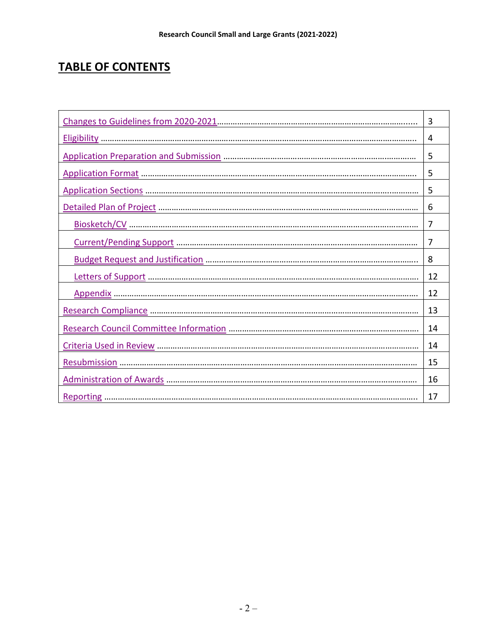# TABLE OF CONTENTS

| 3  |
|----|
| 4  |
| 5  |
| 5  |
| 5  |
| 6  |
| 7  |
| 7  |
| 8  |
| 12 |
| 12 |
| 13 |
| 14 |
| 14 |
| 15 |
| 16 |
| 17 |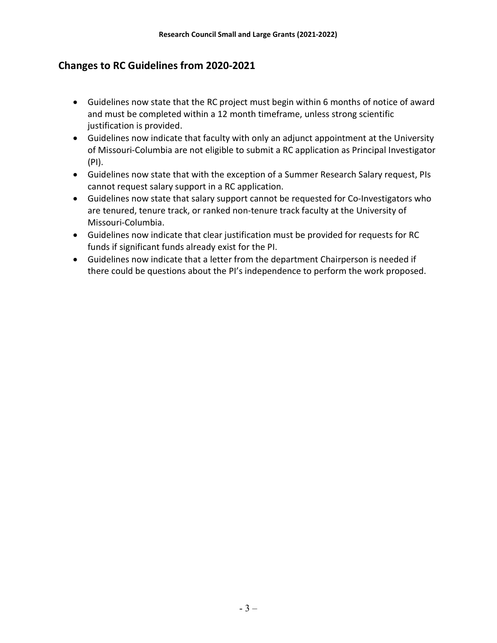# Changes to RC Guidelines from 2020-2021

- Guidelines now state that the RC project must begin within 6 months of notice of award and must be completed within a 12 month timeframe, unless strong scientific justification is provided.
- Guidelines now indicate that faculty with only an adjunct appointment at the University of Missouri-Columbia are not eligible to submit a RC application as Principal Investigator (PI).
- Guidelines now state that with the exception of a Summer Research Salary request, PIs cannot request salary support in a RC application.
- Guidelines now state that salary support cannot be requested for Co-Investigators who are tenured, tenure track, or ranked non-tenure track faculty at the University of Missouri-Columbia.
- Guidelines now indicate that clear justification must be provided for requests for RC funds if significant funds already exist for the PI.
- Guidelines now indicate that a letter from the department Chairperson is needed if there could be questions about the PI's independence to perform the work proposed.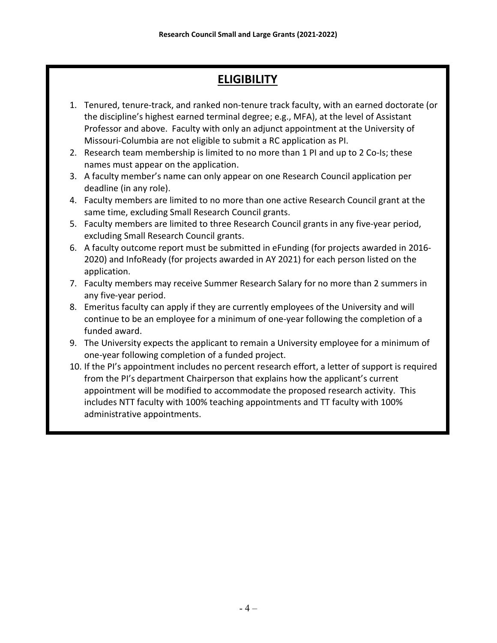# **ELIGIBILITY**

- 1. Tenured, tenure-track, and ranked non-tenure track faculty, with an earned doctorate (or the discipline's highest earned terminal degree; e.g., MFA), at the level of Assistant Professor and above. Faculty with only an adjunct appointment at the University of Missouri-Columbia are not eligible to submit a RC application as PI.
- 2. Research team membership is limited to no more than 1 PI and up to 2 Co-Is; these names must appear on the application.
- 3. A faculty member's name can only appear on one Research Council application per deadline (in any role).
- 4. Faculty members are limited to no more than one active Research Council grant at the same time, excluding Small Research Council grants.
- 5. Faculty members are limited to three Research Council grants in any five-year period, excluding Small Research Council grants.
- 6. A faculty outcome report must be submitted in eFunding (for projects awarded in 2016- 2020) and InfoReady (for projects awarded in AY 2021) for each person listed on the application.
- 7. Faculty members may receive Summer Research Salary for no more than 2 summers in any five-year period.
- 8. Emeritus faculty can apply if they are currently employees of the University and will continue to be an employee for a minimum of one-year following the completion of a funded award.
- 9. The University expects the applicant to remain a University employee for a minimum of one-year following completion of a funded project.
- 10. If the PI's appointment includes no percent research effort, a letter of support is required from the PI's department Chairperson that explains how the applicant's current appointment will be modified to accommodate the proposed research activity. This includes NTT faculty with 100% teaching appointments and TT faculty with 100% administrative appointments.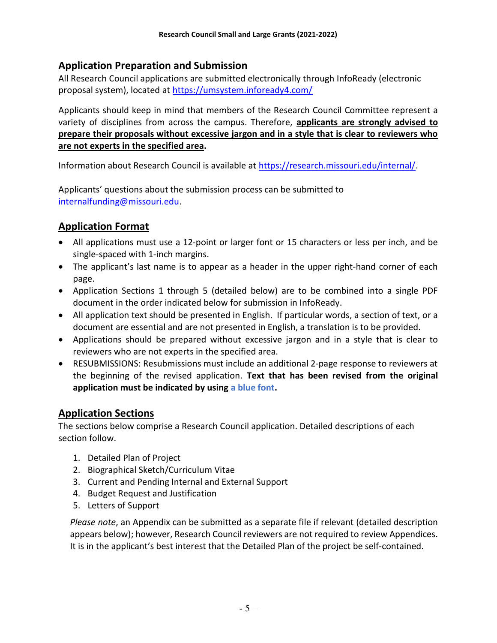# Application Preparation and Submission

All Research Council applications are submitted electronically through InfoReady (electronic proposal system), located at https://umsystem.infoready4.com/

Applicants should keep in mind that members of the Research Council Committee represent a variety of disciplines from across the campus. Therefore, applicants are strongly advised to prepare their proposals without excessive jargon and in a style that is clear to reviewers who are not experts in the specified area.

Information about Research Council is available at https://research.missouri.edu/internal/.

Applicants' questions about the submission process can be submitted to internalfunding@missouri.edu.

# Application Format

- All applications must use a 12-point or larger font or 15 characters or less per inch, and be single-spaced with 1-inch margins.
- The applicant's last name is to appear as a header in the upper right-hand corner of each page.
- Application Sections 1 through 5 (detailed below) are to be combined into a single PDF document in the order indicated below for submission in InfoReady.
- All application text should be presented in English. If particular words, a section of text, or a document are essential and are not presented in English, a translation is to be provided.
- Applications should be prepared without excessive jargon and in a style that is clear to reviewers who are not experts in the specified area.
- RESUBMISSIONS: Resubmissions must include an additional 2-page response to reviewers at the beginning of the revised application. Text that has been revised from the original application must be indicated by using a blue font.

# Application Sections

The sections below comprise a Research Council application. Detailed descriptions of each section follow.

- 1. Detailed Plan of Project
- 2. Biographical Sketch/Curriculum Vitae
- 3. Current and Pending Internal and External Support
- 4. Budget Request and Justification
- 5. Letters of Support

Please note, an Appendix can be submitted as a separate file if relevant (detailed description appears below); however, Research Council reviewers are not required to review Appendices. It is in the applicant's best interest that the Detailed Plan of the project be self-contained.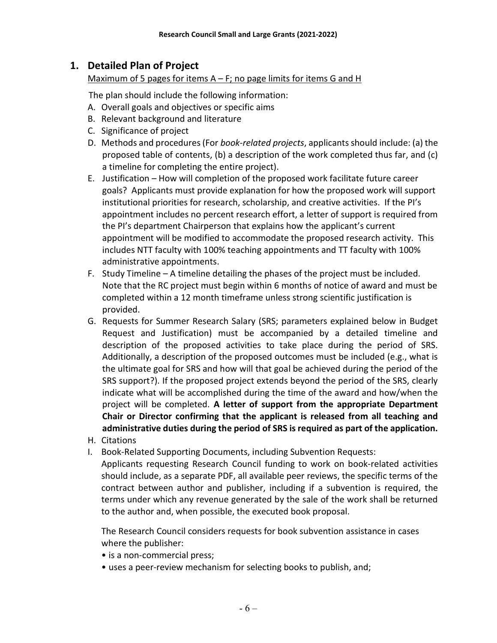# 1. Detailed Plan of Project

#### Maximum of 5 pages for items  $A - F$ ; no page limits for items G and H

The plan should include the following information:

- A. Overall goals and objectives or specific aims
- B. Relevant background and literature
- C. Significance of project
- D. Methods and procedures (For book-related projects, applicants should include: (a) the proposed table of contents, (b) a description of the work completed thus far, and (c) a timeline for completing the entire project).
- E. Justification How will completion of the proposed work facilitate future career goals? Applicants must provide explanation for how the proposed work will support institutional priorities for research, scholarship, and creative activities. If the PI's appointment includes no percent research effort, a letter of support is required from the PI's department Chairperson that explains how the applicant's current appointment will be modified to accommodate the proposed research activity. This includes NTT faculty with 100% teaching appointments and TT faculty with 100% administrative appointments.
- F. Study Timeline A timeline detailing the phases of the project must be included. Note that the RC project must begin within 6 months of notice of award and must be completed within a 12 month timeframe unless strong scientific justification is provided.
- G. Requests for Summer Research Salary (SRS; parameters explained below in Budget Request and Justification) must be accompanied by a detailed timeline and description of the proposed activities to take place during the period of SRS. Additionally, a description of the proposed outcomes must be included (e.g., what is the ultimate goal for SRS and how will that goal be achieved during the period of the SRS support?). If the proposed project extends beyond the period of the SRS, clearly indicate what will be accomplished during the time of the award and how/when the project will be completed. A letter of support from the appropriate Department Chair or Director confirming that the applicant is released from all teaching and administrative duties during the period of SRS is required as part of the application.
- H. Citations
- I. Book-Related Supporting Documents, including Subvention Requests:

Applicants requesting Research Council funding to work on book-related activities should include, as a separate PDF, all available peer reviews, the specific terms of the contract between author and publisher, including if a subvention is required, the terms under which any revenue generated by the sale of the work shall be returned to the author and, when possible, the executed book proposal.

The Research Council considers requests for book subvention assistance in cases where the publisher:

- is a non-commercial press;
- uses a peer-review mechanism for selecting books to publish, and;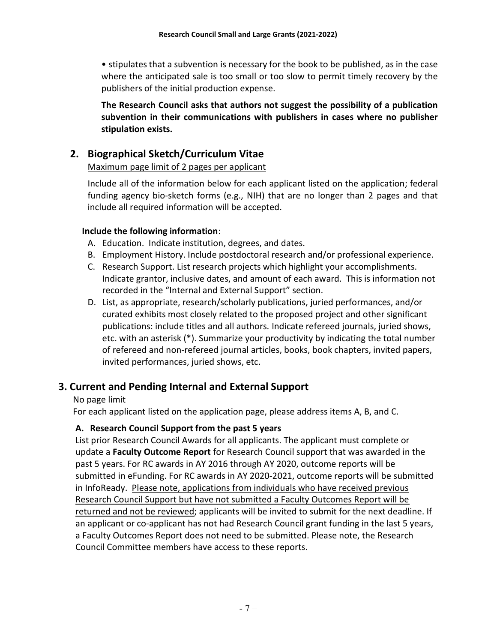• stipulates that a subvention is necessary for the book to be published, as in the case where the anticipated sale is too small or too slow to permit timely recovery by the publishers of the initial production expense.

The Research Council asks that authors not suggest the possibility of a publication subvention in their communications with publishers in cases where no publisher stipulation exists.

# 2. Biographical Sketch/Curriculum Vitae

### Maximum page limit of 2 pages per applicant

Include all of the information below for each applicant listed on the application; federal funding agency bio-sketch forms (e.g., NIH) that are no longer than 2 pages and that include all required information will be accepted.

#### Include the following information:

- A. Education. Indicate institution, degrees, and dates.
- B. Employment History. Include postdoctoral research and/or professional experience.
- C. Research Support. List research projects which highlight your accomplishments. Indicate grantor, inclusive dates, and amount of each award. This is information not recorded in the "Internal and External Support" section.
- D. List, as appropriate, research/scholarly publications, juried performances, and/or curated exhibits most closely related to the proposed project and other significant publications: include titles and all authors. Indicate refereed journals, juried shows, etc. with an asterisk (\*). Summarize your productivity by indicating the total number of refereed and non-refereed journal articles, books, book chapters, invited papers, invited performances, juried shows, etc.

# 3. Current and Pending Internal and External Support

## No page limit

For each applicant listed on the application page, please address items A, B, and C.

## A. Research Council Support from the past 5 years

List prior Research Council Awards for all applicants. The applicant must complete or update a Faculty Outcome Report for Research Council support that was awarded in the past 5 years. For RC awards in AY 2016 through AY 2020, outcome reports will be submitted in eFunding. For RC awards in AY 2020-2021, outcome reports will be submitted in InfoReady. Please note, applications from individuals who have received previous Research Council Support but have not submitted a Faculty Outcomes Report will be returned and not be reviewed; applicants will be invited to submit for the next deadline. If an applicant or co-applicant has not had Research Council grant funding in the last 5 years, a Faculty Outcomes Report does not need to be submitted. Please note, the Research Council Committee members have access to these reports.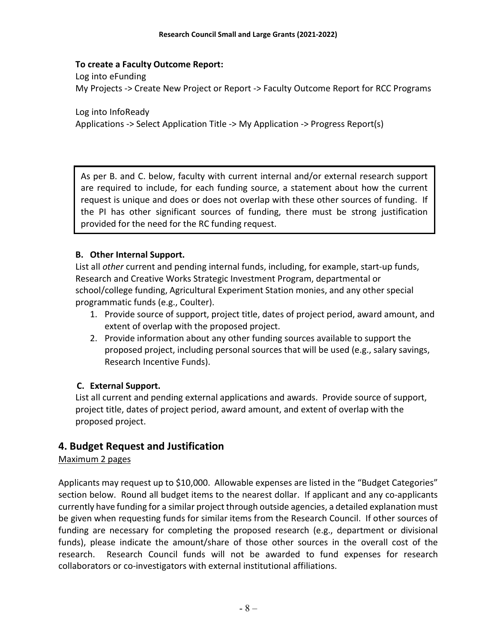#### To create a Faculty Outcome Report:

 Log into eFunding My Projects -> Create New Project or Report -> Faculty Outcome Report for RCC Programs

 Log into InfoReady Applications -> Select Application Title -> My Application -> Progress Report(s)

As per B. and C. below, faculty with current internal and/or external research support are required to include, for each funding source, a statement about how the current request is unique and does or does not overlap with these other sources of funding. If the PI has other significant sources of funding, there must be strong justification provided for the need for the RC funding request.

#### B. Other Internal Support.

List all other current and pending internal funds, including, for example, start-up funds, Research and Creative Works Strategic Investment Program, departmental or school/college funding, Agricultural Experiment Station monies, and any other special programmatic funds (e.g., Coulter).

- 1. Provide source of support, project title, dates of project period, award amount, and extent of overlap with the proposed project.
- 2. Provide information about any other funding sources available to support the proposed project, including personal sources that will be used (e.g., salary savings, Research Incentive Funds).

#### C. External Support.

List all current and pending external applications and awards. Provide source of support, project title, dates of project period, award amount, and extent of overlap with the proposed project.

## 4. Budget Request and Justification

#### Maximum 2 pages

Applicants may request up to \$10,000. Allowable expenses are listed in the "Budget Categories" section below. Round all budget items to the nearest dollar. If applicant and any co-applicants currently have funding for a similar project through outside agencies, a detailed explanation must be given when requesting funds for similar items from the Research Council. If other sources of funding are necessary for completing the proposed research (e.g., department or divisional funds), please indicate the amount/share of those other sources in the overall cost of the research. Research Council funds will not be awarded to fund expenses for research collaborators or co-investigators with external institutional affiliations.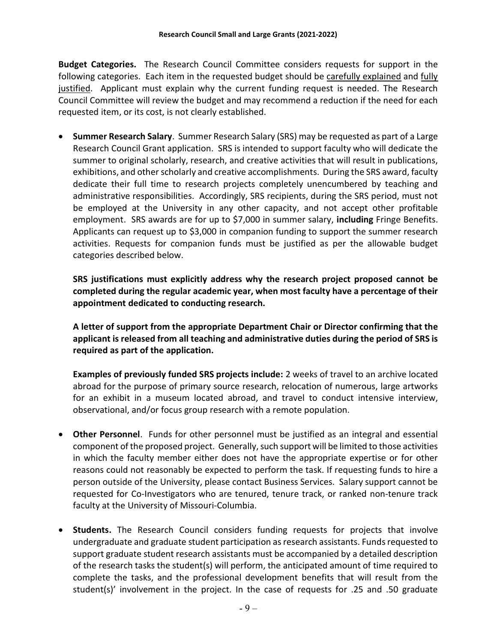**Budget Categories.** The Research Council Committee considers requests for support in the following categories. Each item in the requested budget should be carefully explained and fully justified. Applicant must explain why the current funding request is needed. The Research Council Committee will review the budget and may recommend a reduction if the need for each requested item, or its cost, is not clearly established.

 Summer Research Salary. Summer Research Salary (SRS) may be requested as part of a Large Research Council Grant application. SRS is intended to support faculty who will dedicate the summer to original scholarly, research, and creative activities that will result in publications, exhibitions, and other scholarly and creative accomplishments. During the SRS award, faculty dedicate their full time to research projects completely unencumbered by teaching and administrative responsibilities. Accordingly, SRS recipients, during the SRS period, must not be employed at the University in any other capacity, and not accept other profitable employment. SRS awards are for up to \$7,000 in summer salary, including Fringe Benefits. Applicants can request up to \$3,000 in companion funding to support the summer research activities. Requests for companion funds must be justified as per the allowable budget categories described below.

SRS justifications must explicitly address why the research project proposed cannot be completed during the regular academic year, when most faculty have a percentage of their appointment dedicated to conducting research.

A letter of support from the appropriate Department Chair or Director confirming that the applicant is released from all teaching and administrative duties during the period of SRS is required as part of the application.

Examples of previously funded SRS projects include: 2 weeks of travel to an archive located abroad for the purpose of primary source research, relocation of numerous, large artworks for an exhibit in a museum located abroad, and travel to conduct intensive interview, observational, and/or focus group research with a remote population.

- Other Personnel. Funds for other personnel must be justified as an integral and essential component of the proposed project. Generally, such support will be limited to those activities in which the faculty member either does not have the appropriate expertise or for other reasons could not reasonably be expected to perform the task. If requesting funds to hire a person outside of the University, please contact Business Services. Salary support cannot be requested for Co-Investigators who are tenured, tenure track, or ranked non-tenure track faculty at the University of Missouri-Columbia.
- Students. The Research Council considers funding requests for projects that involve undergraduate and graduate student participation as research assistants. Funds requested to support graduate student research assistants must be accompanied by a detailed description of the research tasks the student(s) will perform, the anticipated amount of time required to complete the tasks, and the professional development benefits that will result from the student(s)' involvement in the project. In the case of requests for .25 and .50 graduate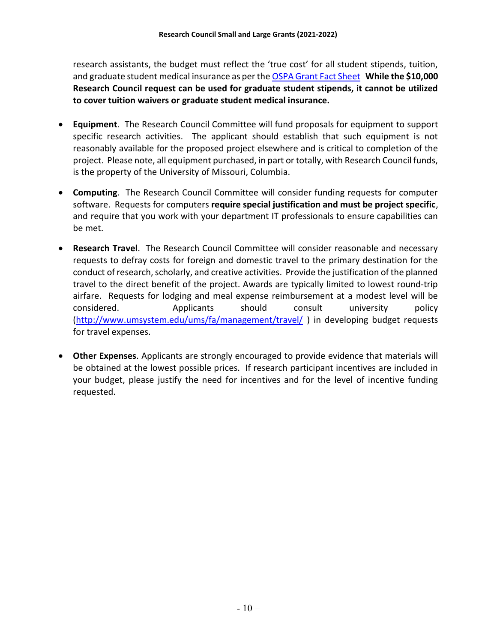research assistants, the budget must reflect the 'true cost' for all student stipends, tuition, and graduate student medical insurance as per the OSPA Grant Fact Sheet While the \$10,000 Research Council request can be used for graduate student stipends, it cannot be utilized to cover tuition waivers or graduate student medical insurance.

- Equipment. The Research Council Committee will fund proposals for equipment to support specific research activities. The applicant should establish that such equipment is not reasonably available for the proposed project elsewhere and is critical to completion of the project. Please note, all equipment purchased, in part or totally, with Research Council funds, is the property of the University of Missouri, Columbia.
- Computing. The Research Council Committee will consider funding requests for computer software. Requests for computers require special justification and must be project specific, and require that you work with your department IT professionals to ensure capabilities can be met.
- Research Travel. The Research Council Committee will consider reasonable and necessary requests to defray costs for foreign and domestic travel to the primary destination for the conduct of research, scholarly, and creative activities. Provide the justification of the planned travel to the direct benefit of the project. Awards are typically limited to lowest round-trip airfare. Requests for lodging and meal expense reimbursement at a modest level will be considered. Applicants should consult university policy (http://www.umsystem.edu/ums/fa/management/travel/ ) in developing budget requests for travel expenses.
- Other Expenses. Applicants are strongly encouraged to provide evidence that materials will be obtained at the lowest possible prices. If research participant incentives are included in your budget, please justify the need for incentives and for the level of incentive funding requested.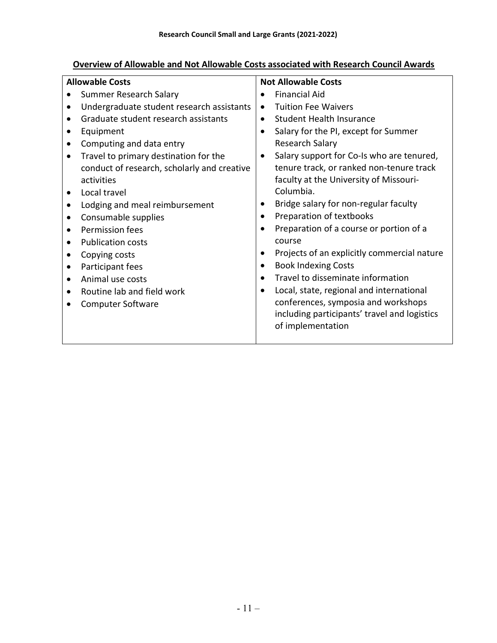# Overview of Allowable and Not Allowable Costs associated with Research Council Awards

| <b>Allowable Costs</b><br><b>Not Allowable Costs</b> |                                             |           |                                              |
|------------------------------------------------------|---------------------------------------------|-----------|----------------------------------------------|
|                                                      | Summer Research Salary                      |           | <b>Financial Aid</b>                         |
|                                                      | Undergraduate student research assistants   |           | <b>Tuition Fee Waivers</b>                   |
|                                                      | Graduate student research assistants        | $\bullet$ | <b>Student Health Insurance</b>              |
|                                                      | Equipment                                   |           | Salary for the PI, except for Summer         |
| $\bullet$                                            | Computing and data entry                    |           | Research Salary                              |
|                                                      | Travel to primary destination for the       |           | Salary support for Co-Is who are tenured,    |
|                                                      | conduct of research, scholarly and creative |           | tenure track, or ranked non-tenure track     |
|                                                      | activities                                  |           | faculty at the University of Missouri-       |
|                                                      | Local travel                                |           | Columbia.                                    |
|                                                      | Lodging and meal reimbursement              |           | Bridge salary for non-regular faculty        |
|                                                      | Consumable supplies                         |           | Preparation of textbooks                     |
|                                                      | Permission fees                             |           | Preparation of a course or portion of a      |
|                                                      | <b>Publication costs</b>                    |           | course                                       |
|                                                      | Copying costs                               |           | Projects of an explicitly commercial nature  |
|                                                      | Participant fees                            |           | <b>Book Indexing Costs</b>                   |
|                                                      | Animal use costs                            |           | Travel to disseminate information            |
|                                                      | Routine lab and field work                  |           | Local, state, regional and international     |
|                                                      | <b>Computer Software</b>                    |           | conferences, symposia and workshops          |
|                                                      |                                             |           | including participants' travel and logistics |
|                                                      |                                             |           | of implementation                            |
|                                                      |                                             |           |                                              |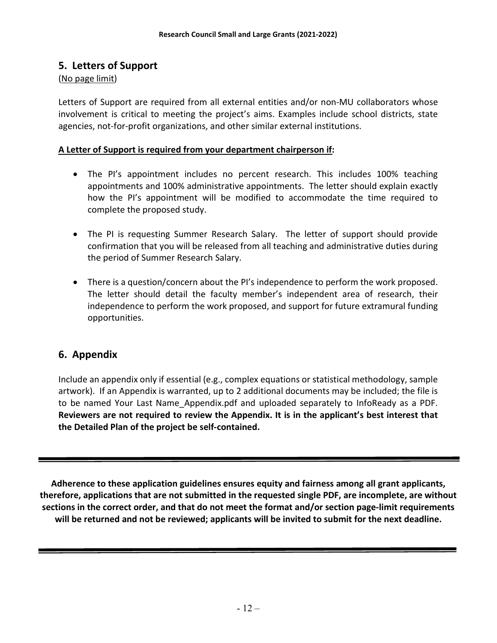## 5. Letters of Support

#### (No page limit)

Letters of Support are required from all external entities and/or non-MU collaborators whose involvement is critical to meeting the project's aims. Examples include school districts, state agencies, not-for-profit organizations, and other similar external institutions.

#### A Letter of Support is required from your department chairperson if:

- The PI's appointment includes no percent research. This includes 100% teaching appointments and 100% administrative appointments. The letter should explain exactly how the PI's appointment will be modified to accommodate the time required to complete the proposed study.
- The PI is requesting Summer Research Salary. The letter of support should provide confirmation that you will be released from all teaching and administrative duties during the period of Summer Research Salary.
- There is a question/concern about the PI's independence to perform the work proposed. The letter should detail the faculty member's independent area of research, their independence to perform the work proposed, and support for future extramural funding opportunities.

# 6. Appendix

Include an appendix only if essential (e.g., complex equations or statistical methodology, sample artwork). If an Appendix is warranted, up to 2 additional documents may be included; the file is to be named Your Last Name\_Appendix.pdf and uploaded separately to InfoReady as a PDF. Reviewers are not required to review the Appendix. It is in the applicant's best interest that the Detailed Plan of the project be self-contained.

Adherence to these application guidelines ensures equity and fairness among all grant applicants, therefore, applications that are not submitted in the requested single PDF, are incomplete, are without sections in the correct order, and that do not meet the format and/or section page-limit requirements will be returned and not be reviewed; applicants will be invited to submit for the next deadline.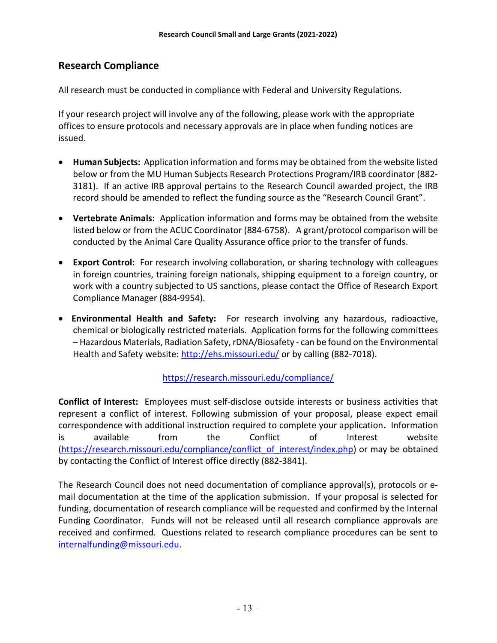## Research Compliance

All research must be conducted in compliance with Federal and University Regulations.

If your research project will involve any of the following, please work with the appropriate offices to ensure protocols and necessary approvals are in place when funding notices are issued.

- Human Subjects: Application information and forms may be obtained from the website listed below or from the MU Human Subjects Research Protections Program/IRB coordinator (882- 3181). If an active IRB approval pertains to the Research Council awarded project, the IRB record should be amended to reflect the funding source as the "Research Council Grant".
- Vertebrate Animals: Application information and forms may be obtained from the website listed below or from the ACUC Coordinator (884-6758). A grant/protocol comparison will be conducted by the Animal Care Quality Assurance office prior to the transfer of funds.
- Export Control: For research involving collaboration, or sharing technology with colleagues in foreign countries, training foreign nationals, shipping equipment to a foreign country, or work with a country subjected to US sanctions, please contact the Office of Research Export Compliance Manager (884-9954).
- Environmental Health and Safety: For research involving any hazardous, radioactive, chemical or biologically restricted materials. Application forms for the following committees – Hazardous Materials, Radiation Safety, rDNA/Biosafety - can be found on the Environmental Health and Safety website: http://ehs.missouri.edu/ or by calling (882-7018).

https://research.missouri.edu/compliance/

Conflict of Interest: Employees must self-disclose outside interests or business activities that represent a conflict of interest. Following submission of your proposal, please expect email correspondence with additional instruction required to complete your application. Information is available from the Conflict of Interest website (https://research.missouri.edu/compliance/conflict\_of\_interest/index.php) or may be obtained by contacting the Conflict of Interest office directly (882-3841).

The Research Council does not need documentation of compliance approval(s), protocols or email documentation at the time of the application submission. If your proposal is selected for funding, documentation of research compliance will be requested and confirmed by the Internal Funding Coordinator. Funds will not be released until all research compliance approvals are received and confirmed. Questions related to research compliance procedures can be sent to internalfunding@missouri.edu.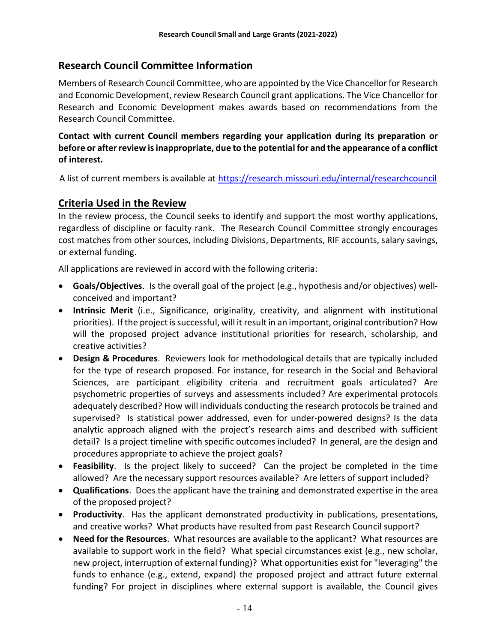# Research Council Committee Information

Members of Research Council Committee, who are appointed by the Vice Chancellor for Research and Economic Development, review Research Council grant applications. The Vice Chancellor for Research and Economic Development makes awards based on recommendations from the Research Council Committee.

Contact with current Council members regarding your application during its preparation or before or after review is inappropriate, due to the potential for and the appearance of a conflict of interest.

A list of current members is available at https://research.missouri.edu/internal/researchcouncil

## Criteria Used in the Review

In the review process, the Council seeks to identify and support the most worthy applications, regardless of discipline or faculty rank. The Research Council Committee strongly encourages cost matches from other sources, including Divisions, Departments, RIF accounts, salary savings, or external funding.

All applications are reviewed in accord with the following criteria:

- Goals/Objectives. Is the overall goal of the project (e.g., hypothesis and/or objectives) wellconceived and important?
- Intrinsic Merit (i.e., Significance, originality, creativity, and alignment with institutional priorities). If the project is successful, will it result in an important, original contribution? How will the proposed project advance institutional priorities for research, scholarship, and creative activities?
- Design & Procedures. Reviewers look for methodological details that are typically included for the type of research proposed. For instance, for research in the Social and Behavioral Sciences, are participant eligibility criteria and recruitment goals articulated? Are psychometric properties of surveys and assessments included? Are experimental protocols adequately described? How will individuals conducting the research protocols be trained and supervised? Is statistical power addressed, even for under-powered designs? Is the data analytic approach aligned with the project's research aims and described with sufficient detail? Is a project timeline with specific outcomes included? In general, are the design and procedures appropriate to achieve the project goals?
- Feasibility. Is the project likely to succeed? Can the project be completed in the time allowed? Are the necessary support resources available? Are letters of support included?
- Qualifications. Does the applicant have the training and demonstrated expertise in the area of the proposed project?
- Productivity. Has the applicant demonstrated productivity in publications, presentations, and creative works? What products have resulted from past Research Council support?
- Need for the Resources. What resources are available to the applicant? What resources are available to support work in the field? What special circumstances exist (e.g., new scholar, new project, interruption of external funding)? What opportunities exist for "leveraging" the funds to enhance (e.g., extend, expand) the proposed project and attract future external funding? For project in disciplines where external support is available, the Council gives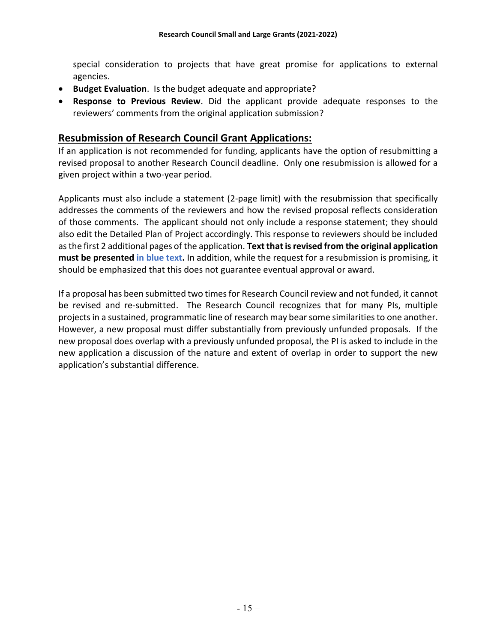special consideration to projects that have great promise for applications to external agencies.

- Budget Evaluation. Is the budget adequate and appropriate?
- Response to Previous Review. Did the applicant provide adequate responses to the reviewers' comments from the original application submission?

## Resubmission of Research Council Grant Applications:

If an application is not recommended for funding, applicants have the option of resubmitting a revised proposal to another Research Council deadline. Only one resubmission is allowed for a given project within a two-year period.

Applicants must also include a statement (2-page limit) with the resubmission that specifically addresses the comments of the reviewers and how the revised proposal reflects consideration of those comments. The applicant should not only include a response statement; they should also edit the Detailed Plan of Project accordingly. This response to reviewers should be included as the first 2 additional pages of the application. Text that is revised from the original application must be presented in blue text. In addition, while the request for a resubmission is promising, it should be emphasized that this does not guarantee eventual approval or award.

If a proposal has been submitted two times for Research Council review and not funded, it cannot be revised and re-submitted. The Research Council recognizes that for many PIs, multiple projects in a sustained, programmatic line of research may bear some similarities to one another. However, a new proposal must differ substantially from previously unfunded proposals. If the new proposal does overlap with a previously unfunded proposal, the PI is asked to include in the new application a discussion of the nature and extent of overlap in order to support the new application's substantial difference.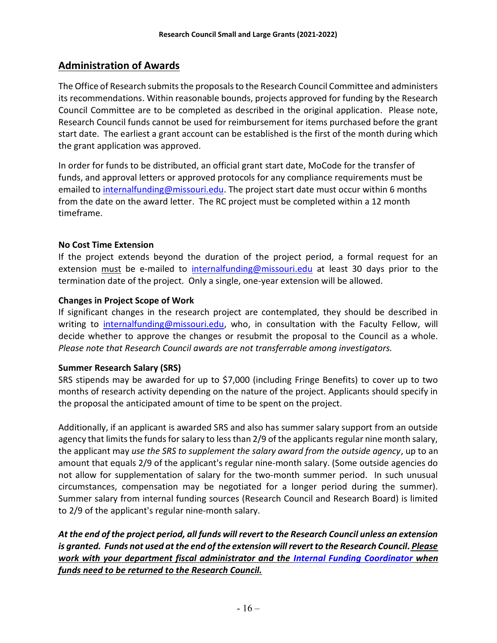# Administration of Awards

The Office of Research submits the proposals to the Research Council Committee and administers its recommendations. Within reasonable bounds, projects approved for funding by the Research Council Committee are to be completed as described in the original application. Please note, Research Council funds cannot be used for reimbursement for items purchased before the grant start date. The earliest a grant account can be established is the first of the month during which the grant application was approved.

In order for funds to be distributed, an official grant start date, MoCode for the transfer of funds, and approval letters or approved protocols for any compliance requirements must be emailed to internalfunding@missouri.edu. The project start date must occur within 6 months from the date on the award letter. The RC project must be completed within a 12 month timeframe.

### No Cost Time Extension

If the project extends beyond the duration of the project period, a formal request for an extension must be e-mailed to internalfunding@missouri.edu at least 30 days prior to the termination date of the project. Only a single, one-year extension will be allowed.

### Changes in Project Scope of Work

If significant changes in the research project are contemplated, they should be described in writing to internalfunding@missouri.edu, who, in consultation with the Faculty Fellow, will decide whether to approve the changes or resubmit the proposal to the Council as a whole. Please note that Research Council awards are not transferrable among investigators.

## Summer Research Salary (SRS)

SRS stipends may be awarded for up to \$7,000 (including Fringe Benefits) to cover up to two months of research activity depending on the nature of the project. Applicants should specify in the proposal the anticipated amount of time to be spent on the project.

Additionally, if an applicant is awarded SRS and also has summer salary support from an outside agency that limits the funds for salary to less than 2/9 of the applicants regular nine month salary, the applicant may use the SRS to supplement the salary award from the outside agency, up to an amount that equals 2/9 of the applicant's regular nine-month salary. (Some outside agencies do not allow for supplementation of salary for the two-month summer period. In such unusual circumstances, compensation may be negotiated for a longer period during the summer). Summer salary from internal funding sources (Research Council and Research Board) is limited to 2/9 of the applicant's regular nine-month salary.

At the end of the project period, all funds will revert to the Research Council unless an extension is granted. Funds not used at the end of the extension will revert to the Research Council. Please work with your department fiscal administrator and the Internal Funding Coordinator when funds need to be returned to the Research Council.